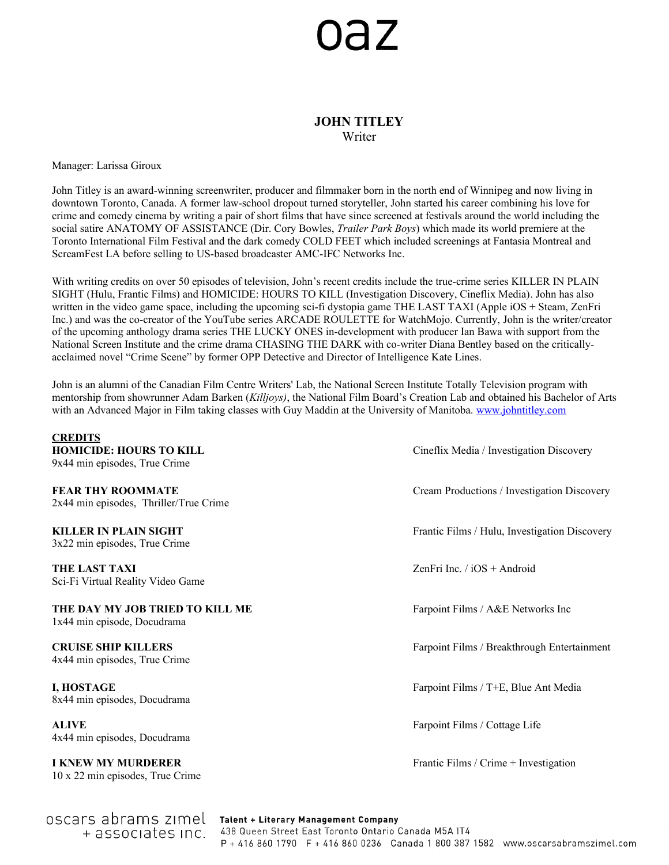# **az**

## **JOHN TITLEY** Writer

Manager: Larissa Giroux

John Titley is an award-winning screenwriter, producer and filmmaker born in the north end of Winnipeg and now living in downtown Toronto, Canada. A former law-school dropout turned storyteller, John started his career combining his love for crime and comedy cinema by writing a pair of short films that have since screened at festivals around the world including the social satire ANATOMY OF ASSISTANCE (Dir. Cory Bowles, *Trailer Park Boys*) which made its world premiere at the Toronto International Film Festival and the dark comedy COLD FEET which included screenings at Fantasia Montreal and ScreamFest LA before selling to US-based broadcaster AMC-IFC Networks Inc.

With writing credits on over 50 episodes of television, John's recent credits include the true-crime series KILLER IN PLAIN SIGHT (Hulu, Frantic Films) and HOMICIDE: HOURS TO KILL (Investigation Discovery, Cineflix Media). John has also written in the video game space, including the upcoming sci-fi dystopia game THE LAST TAXI (Apple iOS + Steam, ZenFri Inc.) and was the co-creator of the YouTube series ARCADE ROULETTE for WatchMojo. Currently, John is the writer/creator of the upcoming anthology drama series THE LUCKY ONES in-development with producer Ian Bawa with support from the National Screen Institute and the crime drama CHASING THE DARK with co-writer Diana Bentley based on the criticallyacclaimed novel "Crime Scene" by former OPP Detective and Director of Intelligence Kate Lines.

John is an alumni of the Canadian Film Centre Writers' Lab, the National Screen Institute Totally Television program with mentorship from showrunner Adam Barken (*Killjoys)*, the National Film Board's Creation Lab and obtained his Bachelor of Arts with an Advanced Major in Film taking classes with Guy Maddin at the University of Manitoba. [www.johntitley.com](http://www.johntitley.com/)

**CREDITS HOMICIDE: HOURS TO KILL EXECUTE:** Cineflix Media / Investigation Discovery 9x44 min episodes, True Crime **FEAR THY ROOMMATE** Cream Productions / Investigation Discovery 2x44 min episodes, Thriller/True Crime **KILLER IN PLAIN SIGHT** Frantic Films / Hulu, Investigation Discovery 3x22 min episodes, True Crime **THE LAST TAXI** ZenFri Inc. / iOS + Android Sci-Fi Virtual Reality Video Game **THE DAY MY JOB TRIED TO KILL ME** Farpoint Films / A&E Networks Inc 1x44 min episode, Docudrama **CRUISE SHIP KILLERS** Farpoint Films / Breakthrough Entertainment 4x44 min episodes, True Crime **I, HOSTAGE Fact And Analyze And Analyze Analyze Analyze Analyze Analyze Analyze Analyze Analyze Analyze Analyze Analyze Analyze Analyze Analyze Analyze Analyze Analyze Analyze Analyze Analyze Analyze Analyze Analyze Ana** 8x44 min episodes, Docudrama **ALIVE** Farpoint Films / Cottage Life 4x44 min episodes, Docudrama **I KNEW MY MURDERER** Frantic Films / Crime + Investigation 10 x 22 min episodes, True Crime

OSCALS abrams zimel Talent + Literary Management Company 438 Queen Street East Toronto Ontario Canada M5A IT4 + associates inc. P + 416 860 1790 F + 416 860 0236 Canada 1 800 387 1582 www.oscarsabramszimel.com